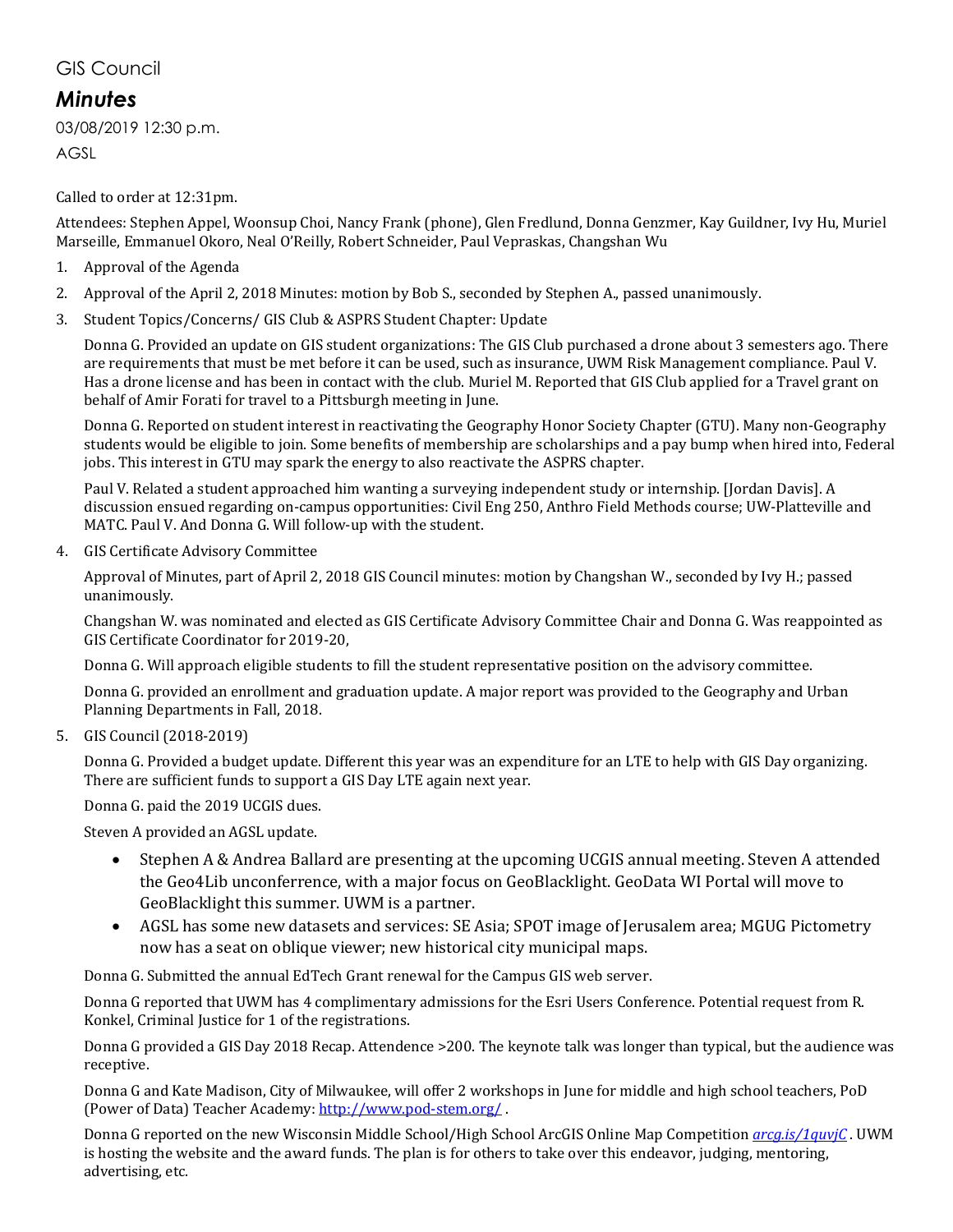## GIS Council

## *Minutes*

03/08/2019 12:30 p.m.

AGSL

Called to order at 12:31pm.

Attendees: Stephen Appel, Woonsup Choi, Nancy Frank (phone), Glen Fredlund, Donna Genzmer, Kay Guildner, Ivy Hu, Muriel Marseille, Emmanuel Okoro, Neal O'Reilly, Robert Schneider, Paul Vepraskas, Changshan Wu

- 1. Approval of the Agenda
- 2. Approval of the April 2, 2018 Minutes: motion by Bob S., seconded by Stephen A., passed unanimously.
- 3. Student Topics/Concerns/ GIS Club & ASPRS Student Chapter: Update

Donna G. Provided an update on GIS student organizations: The GIS Club purchased a drone about 3 semesters ago. There are requirements that must be met before it can be used, such as insurance, UWM Risk Management compliance. Paul V. Has a drone license and has been in contact with the club. Muriel M. Reported that GIS Club applied for a Travel grant on behalf of Amir Forati for travel to a Pittsburgh meeting in June.

Donna G. Reported on student interest in reactivating the Geography Honor Society Chapter (GTU). Many non-Geography students would be eligible to join. Some benefits of membership are scholarships and a pay bump when hired into, Federal jobs. This interest in GTU may spark the energy to also reactivate the ASPRS chapter.

Paul V. Related a student approached him wanting a surveying independent study or internship. [Jordan Davis]. A discussion ensued regarding on-campus opportunities: Civil Eng 250, Anthro Field Methods course; UW-Platteville and MATC. Paul V. And Donna G. Will follow-up with the student.

4. GIS Certificate Advisory Committee

Approval of Minutes, part of April 2, 2018 GIS Council minutes: motion by Changshan W., seconded by Ivy H.; passed unanimously.

Changshan W. was nominated and elected as GIS Certificate Advisory Committee Chair and Donna G. Was reappointed as GIS Certificate Coordinator for 2019-20,

Donna G. Will approach eligible students to fill the student representative position on the advisory committee.

Donna G. provided an enrollment and graduation update. A major report was provided to the Geography and Urban Planning Departments in Fall, 2018.

5. GIS Council (2018-2019)

Donna G. Provided a budget update. Different this year was an expenditure for an LTE to help with GIS Day organizing. There are sufficient funds to support a GIS Day LTE again next year.

Donna G. paid the 2019 UCGIS dues.

Steven A provided an AGSL update.

- Stephen A & Andrea Ballard are presenting at the upcoming UCGIS annual meeting. Steven A attended the Geo4Lib unconferrence, with a major focus on GeoBlacklight. GeoData WI Portal will move to GeoBlacklight this summer. UWM is a partner.
- AGSL has some new datasets and services: SE Asia; SPOT image of Jerusalem area; MGUG Pictometry now has a seat on oblique viewer; new historical city municipal maps.

Donna G. Submitted the annual EdTech Grant renewal for the Campus GIS web server.

Donna G reported that UWM has 4 complimentary admissions for the Esri Users Conference. Potential request from R. Konkel, Criminal Justice for 1 of the registrations.

Donna G provided a GIS Day 2018 Recap. Attendence >200. The keynote talk was longer than typical, but the audience was receptive.

Donna G and Kate Madison, City of Milwaukee, will offer 2 workshops in June for middle and high school teachers, PoD (Power of Data) Teacher Academy:<http://www.pod-stem.org/> .

Donna G reported on the new Wisconsin Middle School/High School ArcGIS Online Map Competition *[arcg.is/1quvjC](http://arcg.is/1quvjC)* . UWM is hosting the website and the award funds. The plan is for others to take over this endeavor, judging, mentoring, advertising, etc.